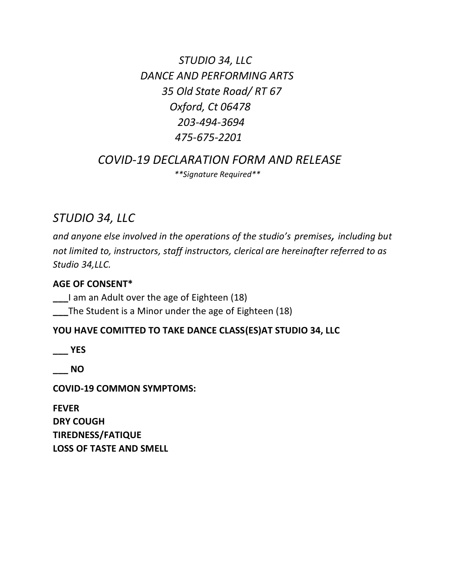*STUDIO 34, LLC DANCE AND PERFORMING ARTS 35 Old State Road/ RT 67 Oxford, Ct 06478 203-494-3694 475-675-2201*

 *COVID-19 DECLARATION FORM AND RELEASE \*\*Signature Required\*\**

# *STUDIO 34, LLC*

*and anyone else involved in the operations of the studio's premises, including but not limited to, instructors, staff instructors, clerical are hereinafter referred to as Studio 34,LLC.*

#### **AGE OF CONSENT\***

**\_\_\_**I am an Adult over the age of Eighteen (18)

**\_\_\_**The Student is a Minor under the age of Eighteen (18)

#### **YOU HAVE COMITTED TO TAKE DANCE CLASS(ES)AT STUDIO 34, LLC**

**\_\_\_ YES**

**\_\_\_ NO**

**COVID-19 COMMON SYMPTOMS:**

**FEVER DRY COUGH TIREDNESS/FATIQUE LOSS OF TASTE AND SMELL**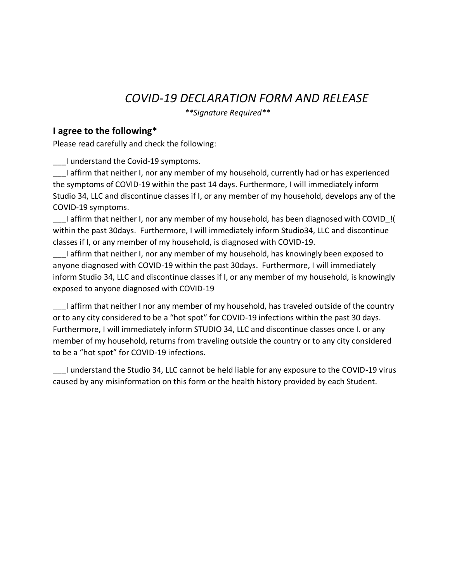# *COVID-19 DECLARATION FORM AND RELEASE*

 *\*\*Signature Required\*\**

#### **I agree to the following\***

Please read carefully and check the following:

\_\_\_I understand the Covid-19 symptoms.

\_\_\_I affirm that neither I, nor any member of my household, currently had or has experienced the symptoms of COVID-19 within the past 14 days. Furthermore, I will immediately inform Studio 34, LLC and discontinue classes if I, or any member of my household, develops any of the COVID-19 symptoms.

I affirm that neither I, nor any member of my household, has been diagnosed with COVID ! within the past 30days. Furthermore, I will immediately inform Studio34, LLC and discontinue classes if I, or any member of my household, is diagnosed with COVID-19.

\_\_\_I affirm that neither I, nor any member of my household, has knowingly been exposed to anyone diagnosed with COVID-19 within the past 30days. Furthermore, I will immediately inform Studio 34, LLC and discontinue classes if I, or any member of my household, is knowingly exposed to anyone diagnosed with COVID-19

I affirm that neither I nor any member of my household, has traveled outside of the country or to any city considered to be a "hot spot" for COVID-19 infections within the past 30 days. Furthermore, I will immediately inform STUDIO 34, LLC and discontinue classes once I. or any member of my household, returns from traveling outside the country or to any city considered to be a "hot spot" for COVID-19 infections.

\_\_\_I understand the Studio 34, LLC cannot be held liable for any exposure to the COVID-19 virus caused by any misinformation on this form or the health history provided by each Student.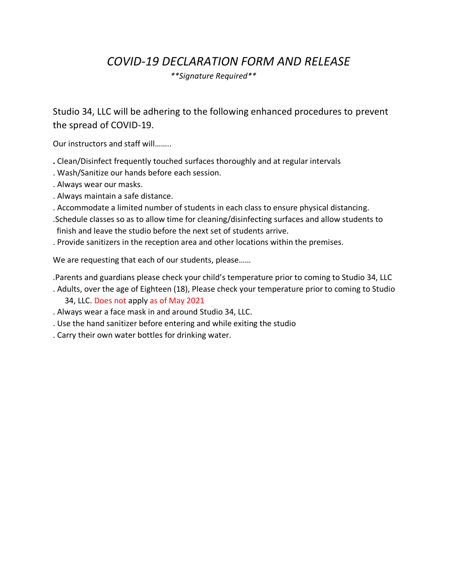## *COVID-19 DECLARATION FORM AND RELEASE*

 *\*\*Signature Required\*\**

Studio 34, LLC will be adhering to the following enhanced procedures to prevent the spread of COVID-19.

Our instructors and staff will……..

- **.** Clean/Disinfect frequently touched surfaces thoroughly and at regular intervals
- . Wash/Sanitize our hands before each session.
- . Always wear our masks.
- . Always maintain a safe distance.
- . Accommodate a limited number of students in each class to ensure physical distancing.
- .Schedule classes so as to allow time for cleaning/disinfecting surfaces and allow students to finish and leave the studio before the next set of students arrive.
- . Provide sanitizers in the reception area and other locations within the premises.

We are requesting that each of our students, please……

- .Parents and guardians please check your child's temperature prior to coming to Studio 34, LLC
- . Adults, over the age of Eighteen (18), Please check your temperature prior to coming to Studio 34, LLC. Does not apply as of May 2021
- . Always wear a face mask in and around Studio 34, LLC.
- . Use the hand sanitizer before entering and while exiting the studio
- . Carry their own water bottles for drinking water.